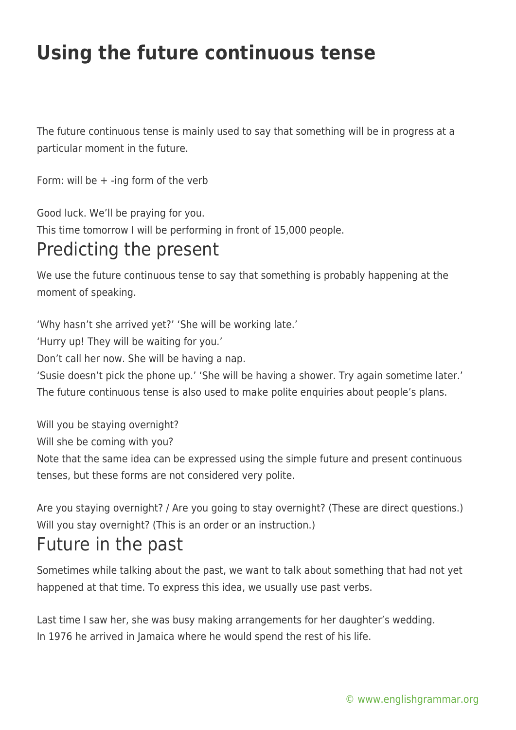## **Using the future continuous tense**

The future continuous tense is mainly used to say that something will be in progress at a particular moment in the future.

Form: will be  $+$  -ing form of the verb

Good luck. We'll be praying for you.

This time tomorrow I will be performing in front of 15,000 people.

## Predicting the present

We use the future continuous tense to say that something is probably happening at the moment of speaking.

'Why hasn't she arrived yet?' 'She will be working late.'

'Hurry up! They will be waiting for you.'

Don't call her now. She will be having a nap.

'Susie doesn't pick the phone up.' 'She will be having a shower. Try again sometime later.' The future continuous tense is also used to make polite enquiries about people's plans.

Will you be staving overnight?

Will she be coming with you?

Note that the same idea can be expressed using the simple future and present continuous tenses, but these forms are not considered very polite.

Are you staying overnight? / Are you going to stay overnight? (These are direct questions.) Will you stay overnight? (This is an order or an instruction.)

## Future in the past

Sometimes while talking about the past, we want to talk about something that had not yet happened at that time. To express this idea, we usually use past verbs.

Last time I saw her, she was busy making arrangements for her daughter's wedding. In 1976 he arrived in Jamaica where he would spend the rest of his life.